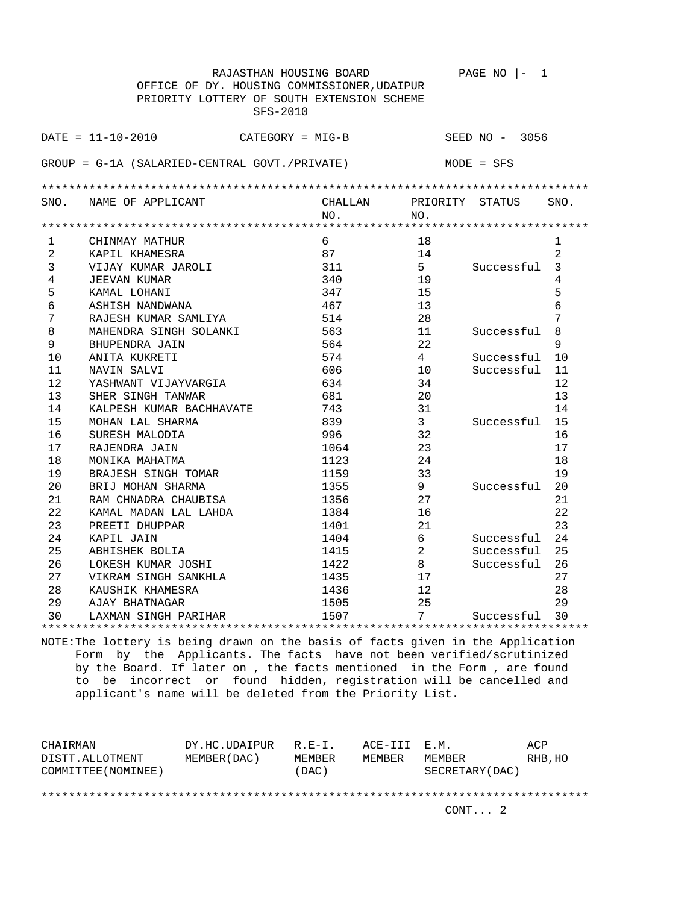|                | RAJASTHAN HOUSING BOARD                         |         |                 | PAGE NO<br>1     |                |
|----------------|-------------------------------------------------|---------|-----------------|------------------|----------------|
|                | OFFICE OF DY. HOUSING COMMISSIONER, UDAIPUR     |         |                 |                  |                |
|                | PRIORITY LOTTERY OF SOUTH EXTENSION SCHEME      |         |                 |                  |                |
|                | SFS-2010                                        |         |                 |                  |                |
|                | $DATA = 11 - 10 - 2010$                         |         |                 |                  |                |
|                | $CATEGORY = MIG-B$                              |         |                 | SEED $NO - 3056$ |                |
|                | $GROUP = G-1A (SALARIED-CENTRAL GOUT./PREVATE)$ |         |                 | $MODE = SFS$     |                |
|                |                                                 |         |                 |                  |                |
|                |                                                 |         |                 |                  |                |
| SNO.           | NAME OF APPLICANT                               | CHALLAN | PRIORITY STATUS |                  | SNO.           |
|                |                                                 | NO.     | NO.             |                  |                |
| $\mathbf{1}$   | CHINMAY MATHUR                                  | 6       | 18              |                  | $\mathbf{1}$   |
| $\overline{a}$ | KAPIL KHAMESRA                                  | 87      | 14              |                  | $\overline{2}$ |
| 3              | VIJAY KUMAR JAROLI                              | 311     | 5               | Successful       | 3              |
| 4              | <b>JEEVAN KUMAR</b>                             | 340     | 19              |                  | 4              |
| 5              | KAMAL LOHANI                                    | 347     | 15              |                  | 5              |
| 6              | ASHISH NANDWANA                                 | 467     | 13              |                  | 6              |
| 7              | RAJESH KUMAR SAMLIYA                            | 514     | 28              |                  | 7              |
| 8              | MAHENDRA SINGH SOLANKI                          | 563     | 11              | Successful       | 8              |
| 9              | BHUPENDRA JAIN                                  | 564     | 22              |                  | 9              |
| 10             | ANITA KUKRETI                                   | 574     | 4               | Successful       | 10             |
| 11             | NAVIN SALVI                                     | 606     | 10              | Successful       | 11             |
| 12             | YASHWANT VIJAYVARGIA                            | 634     | 34              |                  | 12             |
| 13             | SHER SINGH TANWAR                               | 681     | 20              |                  | 13             |
| 14             | KALPESH KUMAR BACHHAVATE                        | 743     | 31              |                  | 14             |
| 15             | MOHAN LAL SHARMA                                | 839     | 3               | Successful       | 15             |
| 16             | SURESH MALODIA                                  | 996     | 32              |                  | 16             |
| 17             | RAJENDRA JAIN                                   | 1064    | 23              |                  | 17             |
| 18             | MONIKA MAHATMA                                  | 1123    | 24              |                  | 18             |
| 19             | BRAJESH SINGH TOMAR                             | 1159    | 33              |                  | 19             |
| 20             | BRIJ MOHAN SHARMA                               | 1355    | 9               | Successful       | 20             |
| 21             | RAM CHNADRA CHAUBISA                            | 1356    | 27              |                  | 21             |
| 22             | KAMAL MADAN LAL LAHDA                           | 1384    | 16              |                  | 22             |
| 23             | PREETI DHUPPAR                                  | 1401    | 21              |                  | 23             |
| 24             | KAPIL JAIN                                      | 1404    | 6               | Successful       | 24             |
| 25             | ABHISHEK BOLIA                                  | 1415    | $\overline{2}$  | Successful       | 25             |
| 26             | LOKESH KUMAR JOSHI                              | 1422    | 8               | Successful       | 26             |
| 27             | VIKRAM SINGH SANKHLA                            | 1435    | 17              |                  | 27             |
| 28             | KAUSHIK KHAMESRA                                | 1436    | 12              |                  | 28             |
| 29             | AJAY BHATNAGAR                                  | 1505    | 25              |                  | 29             |
| 30             | LAXMAN SINGH PARIHAR                            | 1507    | 7               | Successful       | 30             |
|                |                                                 |         |                 |                  |                |

| CHAIRMAN<br>DISTT.ALLOTMENT | DY.HC.UDAIPUR<br>MEMBER (DAC) | $R.F - T$ .<br>MEMBER | ACE-III E.M.<br>MEMBER | MEMBER          | ACP<br>RHB, HO |
|-----------------------------|-------------------------------|-----------------------|------------------------|-----------------|----------------|
| COMMITTEE (NOMINEE)         |                               | (DAC)                 |                        | SECRETARY (DAC) |                |
|                             |                               |                       |                        |                 |                |
|                             |                               |                       |                        | CONT. 2         |                |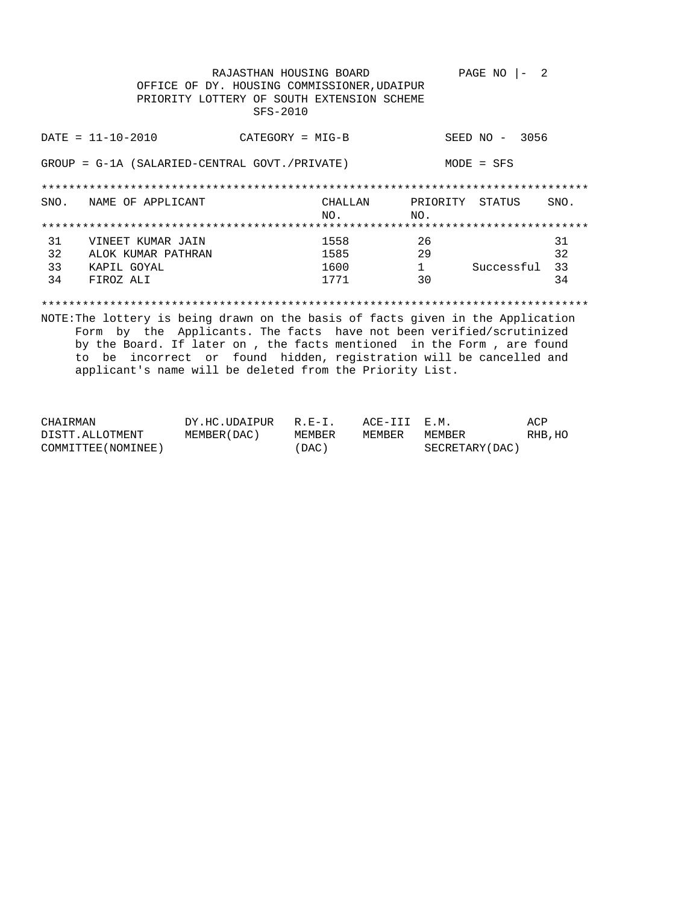|    | OFFICE OF DY. HOUSING COMMISSIONER, UDAIPUR<br>PRIORITY LOTTERY OF SOUTH EXTENSION SCHEME                                   | RAJASTHAN HOUSING BOARD<br>$SFS-2010$ |                |     | PAGE NO          | - 2  |
|----|-----------------------------------------------------------------------------------------------------------------------------|---------------------------------------|----------------|-----|------------------|------|
|    | $DATA - 10 - 2010$                                                                                                          | $CATEGORY = MIG-B$                    |                |     | SEED $NO - 3056$ |      |
|    | GROUP = G-1A (SALARIED-CENTRAL GOVT./PRIVATE)                                                                               |                                       |                |     | $MODE = SFS$     |      |
|    |                                                                                                                             |                                       |                |     |                  |      |
|    | SNO. NAME OF APPLICANT                                                                                                      |                                       | CHALLAN<br>NO. | NO. | PRIORITY STATUS  | SNO. |
|    |                                                                                                                             |                                       |                |     |                  |      |
| 31 | VINEET KUMAR JAIN                                                                                                           |                                       | 1558           | 26  |                  | 31   |
| 32 | ALOK KUMAR PATHRAN                                                                                                          |                                       | 1585           | 29  |                  | 32   |
| 33 | KAPIL GOYAL                                                                                                                 |                                       | 1600           | 1   | Successful 33    |      |
| 34 | FIROZ ALI                                                                                                                   |                                       | 1771           | 30  |                  | 34   |
|    | NOTE: The lottery is being drawn on the basis of facts given in the Application<br>그는 그 그 그는 그만 그만 없으면 그는 그 그 그는 그 사람이 없었다. |                                       |                |     |                  |      |

Form by the Applicants. The facts have not been verified/scrutinized by the Board. If later on , the facts mentioned in the Form , are found to be incorrect or found hidden, registration will be cancelled and applicant's name will be deleted from the Priority List.

| CHAIRMAN            | DY.HC.UDAIPUR | $R. E - T.$ | ACE-III E.M. |                 | ACP     |
|---------------------|---------------|-------------|--------------|-----------------|---------|
| DISTT.ALLOTMENT     | MEMBER (DAC ) | MEMBER      | MEMBER       | MEMBER          | RHB, HO |
| COMMITTEE (NOMINEE) |               | (DAC)       |              | SECRETARY (DAC) |         |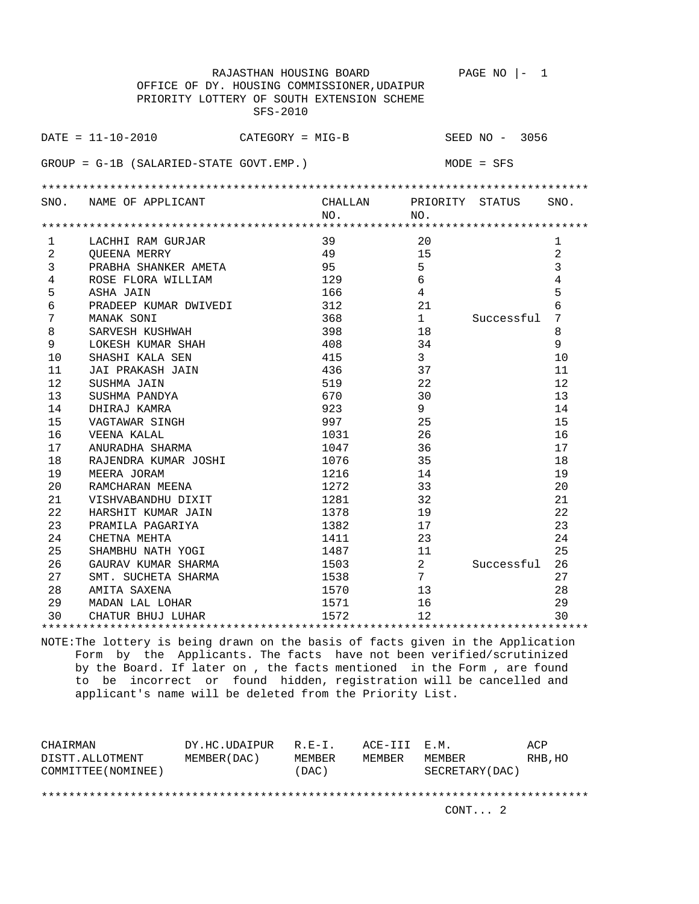|                | RAJASTHAN HOUSING BOARD                           |         |                | $PAGE NO$  -<br>1 |                |
|----------------|---------------------------------------------------|---------|----------------|-------------------|----------------|
|                | OFFICE OF DY. HOUSING COMMISSIONER, UDAIPUR       |         |                |                   |                |
|                | PRIORITY LOTTERY OF SOUTH EXTENSION SCHEME        |         |                |                   |                |
|                | SFS-2010                                          |         |                |                   |                |
|                |                                                   |         |                |                   |                |
|                | $\texttt{DATE} = 11 - 10 - 2010$ CATEGORY = MIG-B |         |                | SEED NO - 3056    |                |
|                |                                                   |         |                |                   |                |
|                | $GROUP = G-1B (SALARIED-STATE GOUT. EMP.)$        |         |                | MODE = SFS        |                |
|                |                                                   |         |                |                   |                |
|                |                                                   |         |                |                   |                |
|                | SNO. NAME OF APPLICANT                            | CHALLAN | NO.            | PRIORITY STATUS   | SNO.           |
|                |                                                   | NO.     |                |                   |                |
| 1              | LACHHI RAM GURJAR                                 | 39      | 20             |                   | 1              |
| $\overline{2}$ | OUEENA MERRY                                      | 49      | 15             |                   | $\overline{a}$ |
| 3              | PRABHA SHANKER AMETA                              | 95      | 5              |                   | 3              |
| $\overline{4}$ | ROSE FLORA WILLIAM                                | 129     | 6              |                   | 4              |
| 5              | ASHA JAIN                                         | 166     | 4              |                   | 5              |
| 6              | PRADEEP KUMAR DWIVEDI                             | 312     | 21             |                   | 6              |
| 7              | MANAK SONI                                        | 368     | $\mathbf{1}$   | Successful        | 7              |
| 8              | SARVESH KUSHWAH                                   | 398     | 18             |                   | 8              |
| 9              | LOKESH KUMAR SHAH                                 | 408     | 34             |                   | 9              |
| 10             | SHASHI KALA SEN                                   | 415     | 3              |                   | 10             |
| 11             | JAI PRAKASH JAIN                                  | 436     | 37             |                   | 11             |
| 12             | SUSHMA JAIN                                       | 519     | 22             |                   | 12             |
| 13             | SUSHMA PANDYA                                     | 670     | 30             |                   | 13             |
| 14             | DHIRAJ KAMRA                                      | 923     | 9              |                   | 14             |
| 15             | VAGTAWAR SINGH                                    | 997     | 25             |                   | 15             |
| 16             | VEENA KALAL                                       | 1031    | 26             |                   | 16             |
| 17             | ANURADHA SHARMA                                   | 1047    | 36             |                   | 17             |
| 18             | RAJENDRA KUMAR JOSHI                              | 1076    | 35             |                   | 18             |
| 19             | MEERA JORAM                                       | 1216    | 14             |                   | 19             |
| 20             | RAMCHARAN MEENA                                   | 1272    | 33             |                   | 20             |
| 21             | VISHVABANDHU DIXIT                                | 1281    | 32             |                   | 21             |
| 22             | HARSHIT KUMAR JAIN                                | 1378    | 19             |                   | 22             |
| 23             | PRAMILA PAGARIYA                                  | 1382    | 17             |                   | 23             |
| 24             | CHETNA MEHTA                                      | 1411    | 23             |                   | 24             |
| 25             | SHAMBHU NATH YOGI                                 | 1487    | 11             |                   | 25             |
| 26             | GAURAV KUMAR SHARMA                               | 1503    | $\overline{2}$ | Successful        | 26             |
| 27             | SMT. SUCHETA SHARMA                               | 1538    | $7\phantom{.}$ |                   | 27             |
| 28             | AMITA SAXENA                                      | 1570    | 13             |                   | 28             |
| 29             | MADAN LAL LOHAR                                   | 1571    | 16             |                   | 29             |
| 30             | CHATUR BHUJ LUHAR                                 | 1572    | 12             |                   | 30             |
|                |                                                   |         |                |                   |                |

| CHAIRMAN<br>DISTT.ALLOTMENT | DY.HC.UDAIPUR<br>MEMBER (DAC) | $R.F - T$ .<br>MEMBER | ACE-III E.M.<br>MEMBER | MEMBER          | ACP<br>RHB, HO |
|-----------------------------|-------------------------------|-----------------------|------------------------|-----------------|----------------|
| COMMITTEE (NOMINEE)         |                               | (DAC)                 |                        | SECRETARY (DAC) |                |
|                             |                               |                       |                        |                 |                |
|                             |                               |                       |                        | CONT. 2         |                |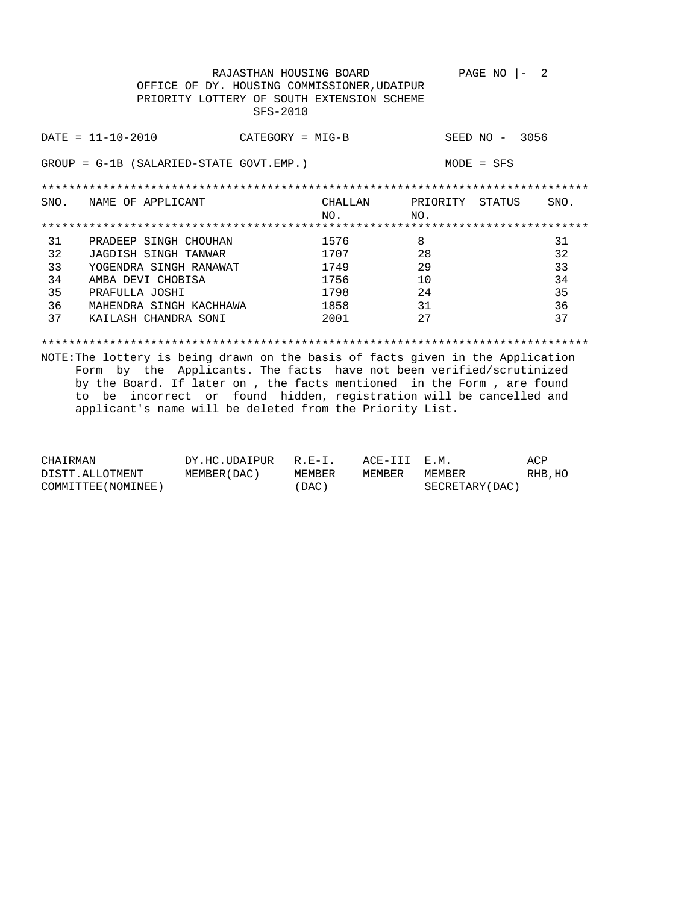|      |                                             | RAJASTHAN HOUSING BOARD |         |          | PAGE NO      |        | 2    |
|------|---------------------------------------------|-------------------------|---------|----------|--------------|--------|------|
|      | OFFICE OF DY. HOUSING COMMISSIONER, UDAIPUR |                         |         |          |              |        |      |
|      | PRIORITY LOTTERY OF SOUTH EXTENSION SCHEME  |                         |         |          |              |        |      |
|      |                                             | $SFS-2010$              |         |          |              |        |      |
|      |                                             |                         |         |          |              |        |      |
|      | $DATA - 10 - 2010$                          | $CATEGORY = MIG-B$      |         |          | SEED NO -    | 3056   |      |
|      |                                             |                         |         |          |              |        |      |
|      | $GROUP = G-1B (SALARIED-STATE GOUT. EMP.)$  |                         |         |          | $MODE = SFS$ |        |      |
|      |                                             |                         |         |          |              |        |      |
|      |                                             |                         |         |          |              |        |      |
| SNO. | NAME OF APPLICANT                           |                         | CHALLAN | PRIORITY |              | STATUS | SNO. |
|      |                                             |                         | NO.     | NO.      |              |        |      |
|      |                                             |                         |         |          |              |        |      |
| 31   | PRADEEP SINGH CHOUHAN                       |                         | 1576    | 8        |              |        | 31   |
| 32   | JAGDISH SINGH TANWAR                        |                         | 1707    | 28       |              |        | 32   |
| 33   | YOGENDRA SINGH RANAWAT                      |                         | 1749    | 29       |              |        | 33   |
| 34   | AMBA DEVI CHOBISA                           |                         | 1756    | 10       |              |        | 34   |
| 35   | PRAFULLA JOSHI                              |                         | 1798    | 24       |              |        | 35   |
| 36   | MAHENDRA SINGH KACHHAWA                     |                         | 1858    | 31       |              |        | 36   |
| 37   | KAILASH CHANDRA SONI                        |                         | 2001    | 27       |              |        | 37   |
|      |                                             |                         |         |          |              |        |      |
|      |                                             |                         |         |          |              |        |      |

| CHAIRMAN            | DY.HC.UDAIPUR | $R.E-I.$ | ACE-III E.M. |                  | ACP     |
|---------------------|---------------|----------|--------------|------------------|---------|
| DISTT.ALLOTMENT     | MEMBER (DAC ) | MEMBER   | MEMBER       | MEMBER           | RHB, HO |
| COMMITTEE (NOMINEE) |               | ' DAC )  |              | SECRETARY (DAC ) |         |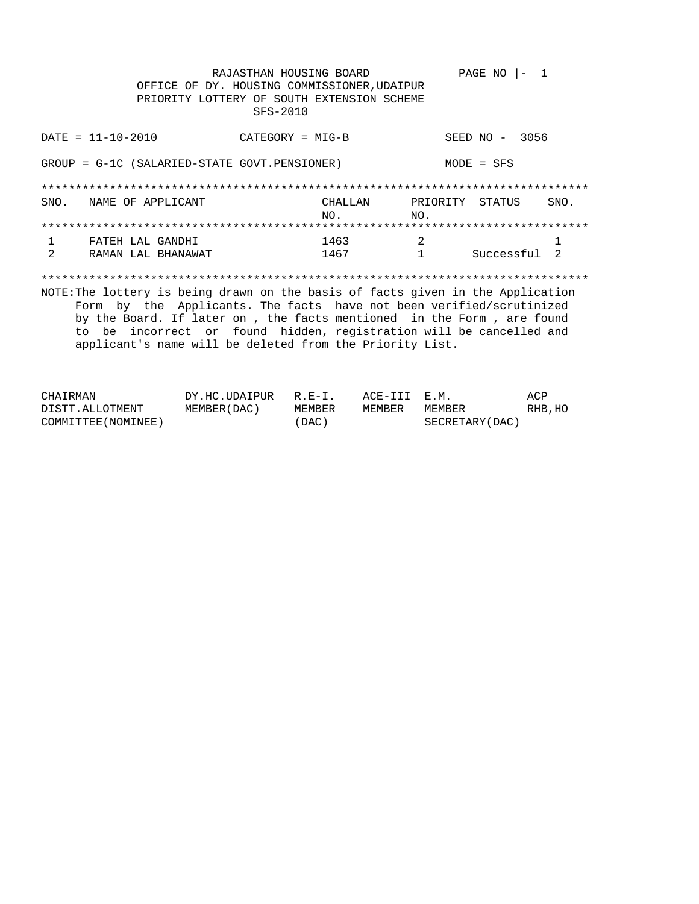RAJASTHAN HOUSING BOARD PAGE NO  $|-1$ OFFICE OF DY. HOUSING COMMISSIONER, UDAIPUR PRIORITY LOTTERY OF SOUTH EXTENSION SCHEME SFS-2010  $DATA = 11 - 10 - 2010$ SEED NO - 3056  $CATEGORY = MIG-B$ GROUP = G-1C (SALARIED-STATE GOVT.PENSIONER)  $MODE = SFS$ CHALLAN PRIORITY STATUS SNO. SNO. NAME OF APPLICANT  $_{\rm NO}$  .  $NO.$  $1463$  2<br> $1467$  1 FATEH LAL GANDHI  $\mathbf{1}$  $\mathbf{1}$  $\overline{2}$ RAMAN LAL BHANAWAT  $1$ Successful 2 NOTE: The lottery is being drawn on the basis of facts given in the Application Form by the Applicants. The facts have not been verified/scrutinized by the Board. If later on , the facts mentioned in the Form , are found to be incorrect or found hidden, registration will be cancelled and applicant's name will be deleted from the Priority List.

| CHAIRMAN            | DY.HC.UDAIPUR R.E-I. |        | ACE-III E.M. |                 | ACP     |
|---------------------|----------------------|--------|--------------|-----------------|---------|
| DISTT.ALLOTMENT     | MEMBER (DAC)         | MEMBER | MEMBER       | MEMBER          | RHB, HO |
| COMMITTEE (NOMINEE) |                      | (DAC)  |              | SECRETARY (DAC) |         |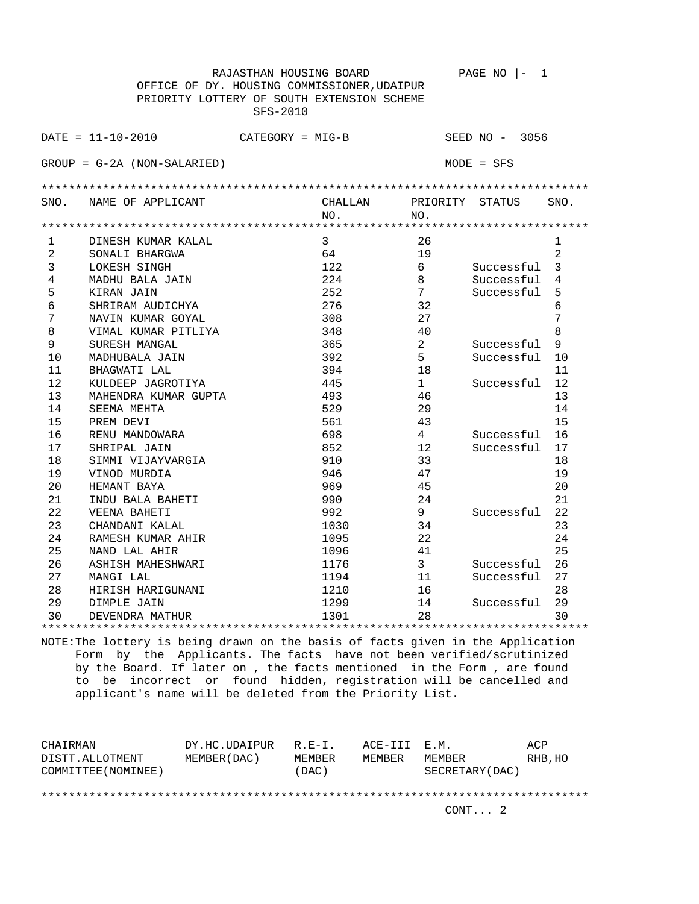|      |                                             | RAJASTHAN HOUSING BOARD |         |                | PAGE NO<br>1     |                |
|------|---------------------------------------------|-------------------------|---------|----------------|------------------|----------------|
|      | OFFICE OF DY. HOUSING COMMISSIONER, UDAIPUR |                         |         |                |                  |                |
|      | PRIORITY LOTTERY OF SOUTH EXTENSION SCHEME  |                         |         |                |                  |                |
|      |                                             | SFS-2010                |         |                |                  |                |
|      |                                             |                         |         |                |                  |                |
|      | $DATA = 11 - 10 - 2010$                     | $CATEGORY = MIG-B$      |         |                | SEED $NO - 3056$ |                |
|      | $GROUP = G-2A (NON-SALARIED)$               |                         |         |                | $MODE = SFS$     |                |
|      |                                             |                         |         |                |                  |                |
| SNO. | NAME OF APPLICANT                           |                         | CHALLAN | PRIORITY       | STATUS           | SNO.           |
|      |                                             |                         | NO.     | NO.            |                  |                |
|      |                                             |                         |         |                |                  |                |
| 1    | DINESH KUMAR KALAL                          |                         | 3       | 26             |                  | $\mathbf{1}$   |
| 2    | SONALI BHARGWA                              |                         | 64      | 19             |                  | $\overline{2}$ |
| 3    | LOKESH SINGH                                |                         | 122     | 6              | Successful       | 3              |
| 4    | MADHU BALA JAIN                             |                         | 224     | 8              | Successful       | 4              |
| 5    | KIRAN JAIN                                  |                         | 252     | 7              | Successful       | 5              |
| 6    | SHRIRAM AUDICHYA                            |                         | 276     | 32             |                  | 6              |
| 7    | NAVIN KUMAR GOYAL                           |                         | 308     | 27             |                  | 7              |
| 8    | VIMAL KUMAR PITLIYA                         |                         | 348     | 40             |                  | 8              |
| 9    | SURESH MANGAL                               |                         | 365     | $\overline{a}$ | Successful       | 9              |
| 10   | MADHUBALA JAIN                              |                         | 392     | 5              | Successful       | 10             |
| 11   | BHAGWATI LAL                                |                         | 394     | 18             |                  | 11             |
| 12   | KULDEEP JAGROTIYA                           |                         | 445     | $\mathbf 1$    | Successful       | 12             |
| 13   | MAHENDRA KUMAR GUPTA                        |                         | 493     | 46             |                  | 13             |
| 14   | SEEMA MEHTA                                 |                         | 529     | 29             |                  | 14             |
| 15   | PREM DEVI                                   |                         | 561     | 43             |                  | 15             |
| 16   | RENU MANDOWARA                              |                         | 698     | $\overline{4}$ | Successful       | 16             |
| 17   | SHRIPAL JAIN                                |                         | 852     | 12             | Successful       | 17             |
| 18   | SIMMI VIJAYVARGIA                           |                         | 910     | 33             |                  | 18             |
| 19   | VINOD MURDIA                                |                         | 946     | 47             |                  | 19             |
| 20   | HEMANT BAYA                                 |                         | 969     | 45             |                  | 20             |
| 21   | INDU BALA BAHETI                            |                         | 990     | 24             |                  | 21             |
| 22   | VEENA BAHETI                                |                         | 992     | 9              | Successful       | 22             |
| 23   | CHANDANI KALAL                              |                         | 1030    | 34             |                  | 23             |
| 24   | RAMESH KUMAR AHIR                           |                         | 1095    | 22             |                  | 24             |
| 25   | NAND LAL AHIR                               |                         | 1096    | 41             |                  | 25             |
| 26   | ASHISH MAHESHWARI                           |                         | 1176    | 3              | Successful       | 26             |
| 27   | MANGI LAL                                   |                         | 1194    | 11             | Successful       | 27             |
| 28   | HIRISH HARIGUNANI                           |                         | 1210    | 16             |                  | 28             |
| 29   | DIMPLE JAIN                                 |                         | 1299    | 14             | Successful       | 29             |
| 30   | DEVENDRA MATHUR                             |                         | 1301    | 28             |                  | 30             |
|      |                                             |                         |         |                |                  |                |

| CHAIRMAN<br>DISTT.ALLOTMENT<br>COMMITTEE (NOMINEE) | DY.HC.UDAIPUR<br>MEMBER (DAC ) | $R.F - T$ .<br>MEMBER<br>(DAC) | ACE-III E.M.<br>MEMBER | MEMBER<br>SECRETARY (DAC) | ACP<br>RHB, HO |
|----------------------------------------------------|--------------------------------|--------------------------------|------------------------|---------------------------|----------------|
|                                                    |                                |                                |                        | CONT. 2                   |                |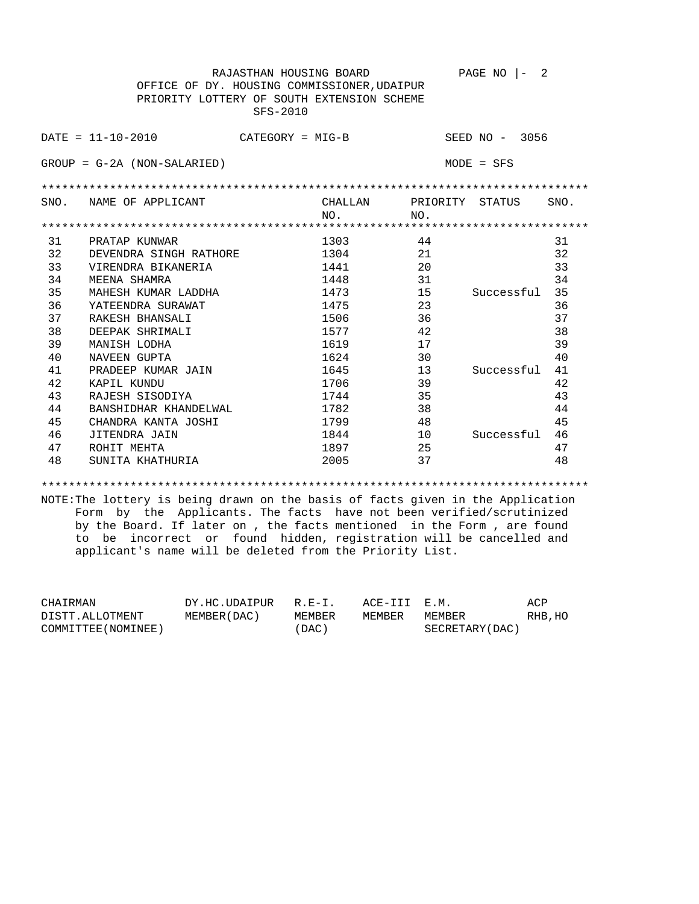RAJASTHAN HOUSING BOARD PAGE NO  $|-2$  OFFICE OF DY. HOUSING COMMISSIONER,UDAIPUR PRIORITY LOTTERY OF SOUTH EXTENSION SCHEME SFS-2010 DATE = 11-10-2010 CATEGORY = MIG-B SEED NO - 3056 GROUP = G-2A (NON-SALARIED) MODE = SFS \*\*\*\*\*\*\*\*\*\*\*\*\*\*\*\*\*\*\*\*\*\*\*\*\*\*\*\*\*\*\*\*\*\*\*\*\*\*\*\*\*\*\*\*\*\*\*\*\*\*\*\*\*\*\*\*\*\*\*\*\*\*\*\*\*\*\*\*\*\*\*\*\*\*\*\*\*\*\*\* SNO. NAME OF APPLICANT CHALLAN PRIORITY STATUS SNO. NO. NO. \*\*\*\*\*\*\*\*\*\*\*\*\*\*\*\*\*\*\*\*\*\*\*\*\*\*\*\*\*\*\*\*\*\*\*\*\*\*\*\*\*\*\*\*\*\*\*\*\*\*\*\*\*\*\*\*\*\*\*\*\*\*\*\*\*\*\*\*\*\*\*\*\*\*\*\*\*\*\*\* 31 PRATAP KUNWAR 1303 44 31 32 DEVENDRA SINGH RATHORE 1304 21 21 32 33 VIRENDRA BIKANERIA 1441 20 33 34 MEENA SHAMRA 1448 1448 31 34 35 MAHESH KUMAR LADDHA 1473 15 Successful 35 36 YATEENDRA SURAWAT 1475 23 23 36 37 RAKESH BHANSALI 1506 36 37 37 38 DEEPAK SHRIMALI 1577 42 38 39 MANISH LODHA 1619 17 39 40 NAVEEN GUPTA 1624 30 Successful 41 41 PRADEEP KUMAR JAIN 1645<br>42 KAPIL KUNDU 1706 42 KAPIL KUNDU 1706 39 42 43 RAJESH SISODIYA 1744 35 43 44 BANSHIDHAR KHANDELWAL 1782 38 44 45 CHANDRA KANTA JOSHI 1799 48 45 46 JITENDRA JAIN 1844 10 Successful 46 47 ROHIT MEHTA 1897 25 47 48 SUNITA KHATHURIA 2005 37 48

\*\*\*\*\*\*\*\*\*\*\*\*\*\*\*\*\*\*\*\*\*\*\*\*\*\*\*\*\*\*\*\*\*\*\*\*\*\*\*\*\*\*\*\*\*\*\*\*\*\*\*\*\*\*\*\*\*\*\*\*\*\*\*\*\*\*\*\*\*\*\*\*\*\*\*\*\*\*\*\*

| CHAIRMAN            | DY.HC.UDAIPUR | $R.F-T$ . | ACE-III E.M. |                 | ACP     |
|---------------------|---------------|-----------|--------------|-----------------|---------|
| DISTT.ALLOTMENT     | MEMBER (DAC ) | MEMBER    | MEMBER       | MEMBER          | RHB, HO |
| COMMITTEE (NOMINEE) |               | 'DAC)     |              | SECRETARY (DAC) |         |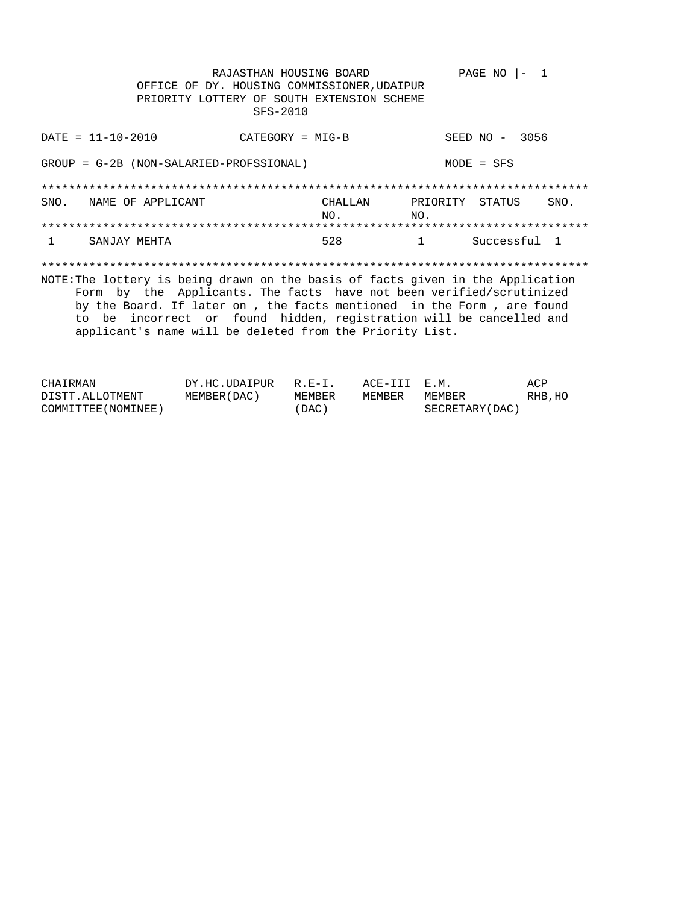RAJASTHAN HOUSING BOARD PAGE NO  $|-1$ OFFICE OF DY. HOUSING COMMISSIONER, UDAIPUR PRIORITY LOTTERY OF SOUTH EXTENSION SCHEME SFS-2010  $DATA = 11 - 10 - 2010$  $CATEGORY = MIG-B$ SEED NO - 3056 GROUP = G-2B (NON-SALARIED-PROFSSIONAL)  $MODE = SFS$ SNO. NAME OF APPLICANT CHALLAN PRIORITY STATUS SNO.  $NO.$  $NO<sub>z</sub>$ SANJAY MEHTA 528 Successful 1  $\mathbf{1}$  $\mathbf{1}$ NOTE: The lottery is being drawn on the basis of facts given in the Application Form by the Applicants. The facts have not been verified/scrutinized by the Board. If later on , the facts mentioned in the Form , are found to be incorrect or found hidden, registration will be cancelled and applicant's name will be deleted from the Priority List.

| CHAIRMAN            | DY.HC.UDAIPUR R.E-I. |        | ACE-III E.M. |                 | ACP     |
|---------------------|----------------------|--------|--------------|-----------------|---------|
| DISTT.ALLOTMENT     | MEMBER ( DAC )       | MEMBER | MEMBER       | MEMBER          | RHB, HO |
| COMMITTEE (NOMINEE) |                      | (DAC)  |              | SECRETARY (DAC) |         |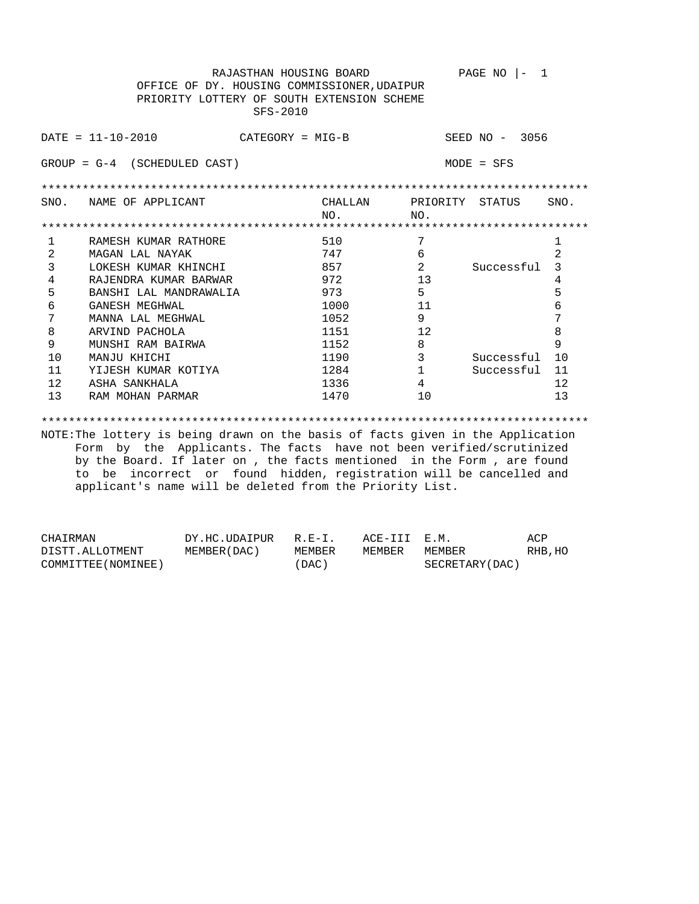RAJASTHAN HOUSING BOARD PAGE NO  $|-1$  OFFICE OF DY. HOUSING COMMISSIONER,UDAIPUR PRIORITY LOTTERY OF SOUTH EXTENSION SCHEME SFS-2010 DATE = 11-10-2010 CATEGORY = MIG-B SEED NO - 3056 GROUP = G-4 (SCHEDULED CAST) MODE = SFS \*\*\*\*\*\*\*\*\*\*\*\*\*\*\*\*\*\*\*\*\*\*\*\*\*\*\*\*\*\*\*\*\*\*\*\*\*\*\*\*\*\*\*\*\*\*\*\*\*\*\*\*\*\*\*\*\*\*\*\*\*\*\*\*\*\*\*\*\*\*\*\*\*\*\*\*\*\*\*\* SNO. NAME OF APPLICANT CHALLAN PRIORITY STATUS SNO. NO. NO. \*\*\*\*\*\*\*\*\*\*\*\*\*\*\*\*\*\*\*\*\*\*\*\*\*\*\*\*\*\*\*\*\*\*\*\*\*\*\*\*\*\*\*\*\*\*\*\*\*\*\*\*\*\*\*\*\*\*\*\*\*\*\*\*\*\*\*\*\*\*\*\*\*\*\*\*\*\*\*\* 1 RAMESH KUMAR RATHORE 510 7<br>
2 MAGAN LAL NAYAK 747 6 2<br>
3 TOKESH KUMAR KHINGHI 957 2 2 MAGAN LAL NAYAK 1999 - 2009 - 2014 12:30 12:30 12:30 12:30 12:30 12:30 12:30 12:30 12:30 12:30 12:30 12:30 12:30 12:30 12:30 12:30 12:30 12:30 12:30 12:30 12:30 12:30 12:30 12:30 12:30 12:30 12:30 12:30 12:30 12:30 12:30 3 LOKESH KUMAR KHINCHI 857 2 Successful 3 4 RAJENDRA KUMAR BARWAR 1972 13 13 4 5 BANSHI LAL MANDRAWALIA 973 5 5 6 GANESH MEGHWAL 1000 11 6 7 MANNA LAL MEGHWAL 1052 9 7 8 ARVIND PACHOLA 1151 12 8 9 MUNSHI RAM BAIRWA 1152 8 9 10 MANJU KHICHI 1190 1190 3 Successful 10 11 YIJESH KUMAR KOTIYA 1284 1 Successful 11 12 ASHA SANKHALA 1336 4 12 13 RAM MOHAN PARMAR 1470 16 10 13 \*\*\*\*\*\*\*\*\*\*\*\*\*\*\*\*\*\*\*\*\*\*\*\*\*\*\*\*\*\*\*\*\*\*\*\*\*\*\*\*\*\*\*\*\*\*\*\*\*\*\*\*\*\*\*\*\*\*\*\*\*\*\*\*\*\*\*\*\*\*\*\*\*\*\*\*\*\*\*\* NOTE:The lottery is being drawn on the basis of facts given in the Application

 Form by the Applicants. The facts have not been verified/scrutinized by the Board. If later on , the facts mentioned in the Form , are found to be incorrect or found hidden, registration will be cancelled and applicant's name will be deleted from the Priority List.

| CHAIRMAN            | DY.HC.UDAIPUR R.E-I. |        | ACE-III E.M. |                 | ACP     |
|---------------------|----------------------|--------|--------------|-----------------|---------|
| DISTT.ALLOTMENT     | MEMBER(DAC)          | MEMBER | MEMBER       | MEMBER          | RHB, HO |
| COMMITTEE (NOMINEE) |                      | 'DAC)  |              | SECRETARY (DAC) |         |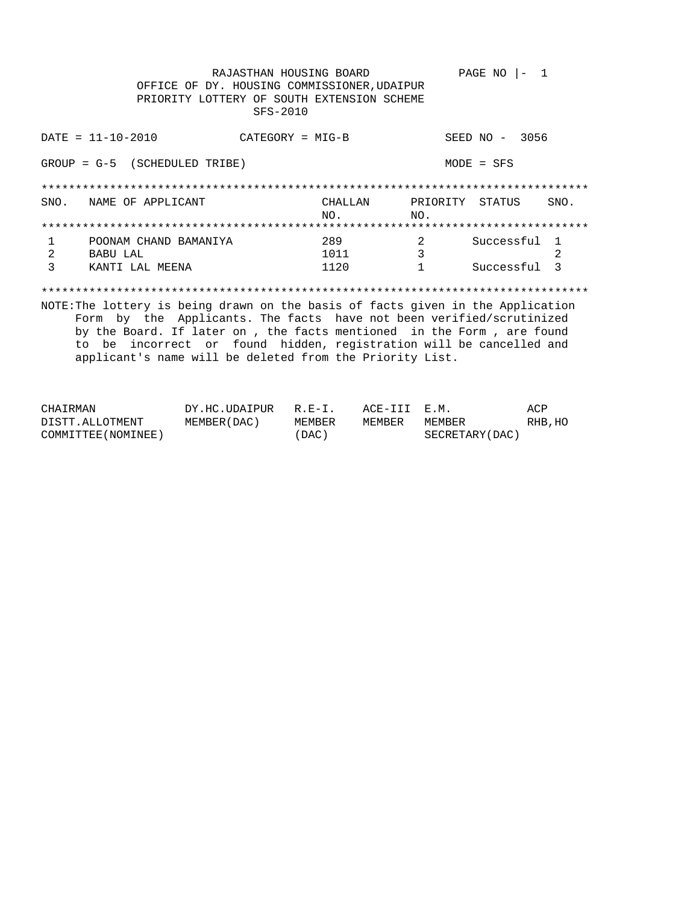RAJASTHAN HOUSING BOARD PAGE NO  $|-1$ OFFICE OF DY. HOUSING COMMISSIONER, UDAIPUR PRIORITY LOTTERY OF SOUTH EXTENSION SCHEME SFS-2010  $DATA = 11 - 10 - 2010$ SEED NO - 3056  $CATEGORY = MIG-B$  $GROUP = G-5$  (SCHEDULED TRIBE)  $MODE = SFS$ SNO. NAME OF APPLICANT CHALLAN PRIORITY STATUS SNO. NO.  $NO.$  $\overline{\mathbf{c}}$ Successful 1 POONAM CHAND BAMANIYA 289  $\mathbf{1}$  $\overline{\mathbf{3}}$ **BABU LAL** 2  $\overline{2}$ 1011 KANTI LAL MEENA 1120  $\mathbf{3}$  $1$ Successful 3 NOTE: The lottery is being drawn on the basis of facts given in the Application

Form by the Applicants. The facts have not been verified/scrutinized by the Board. If later on , the facts mentioned in the Form , are found to be incorrect or found hidden, registration will be cancelled and applicant's name will be deleted from the Priority List.

| CHAIRMAN            | DY.HC.UDAIPUR R.E-I. |          | ACE-III E.M. |                 | ACP     |
|---------------------|----------------------|----------|--------------|-----------------|---------|
| DISTT.ALLOTMENT     | MEMBER ( DAC )       | MEMBER   | MEMBER       | MEMBER          | RHB, HO |
| COMMITTEE (NOMINEE) |                      | $'$ DAC) |              | SECRETARY (DAC) |         |